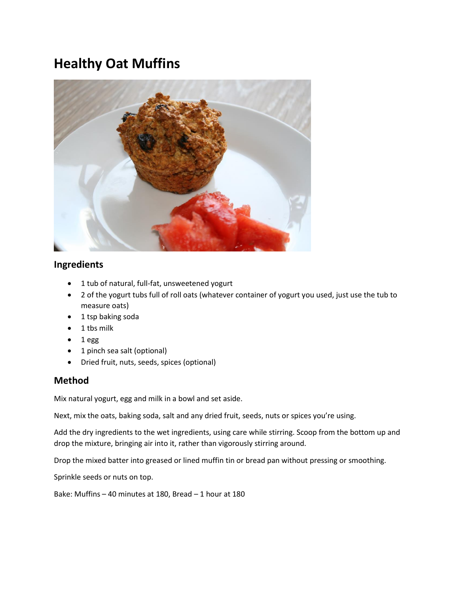## **Healthy Oat Muffins**



## **Ingredients**

- 1 tub of natural, full-fat, unsweetened yogurt
- 2 of the yogurt tubs full of roll oats (whatever container of yogurt you used, just use the tub to measure oats)
- 1 tsp baking soda
- 1 tbs milk
- 1 egg
- 1 pinch sea salt (optional)
- Dried fruit, nuts, seeds, spices (optional)

## **Method**

Mix natural yogurt, egg and milk in a bowl and set aside.

Next, mix the oats, baking soda, salt and any dried fruit, seeds, nuts or spices you're using.

Add the dry ingredients to the wet ingredients, using care while stirring. Scoop from the bottom up and drop the mixture, bringing air into it, rather than vigorously stirring around.

Drop the mixed batter into greased or lined muffin tin or bread pan without pressing or smoothing.

Sprinkle seeds or nuts on top.

Bake: Muffins – 40 minutes at 180, Bread – 1 hour at 180